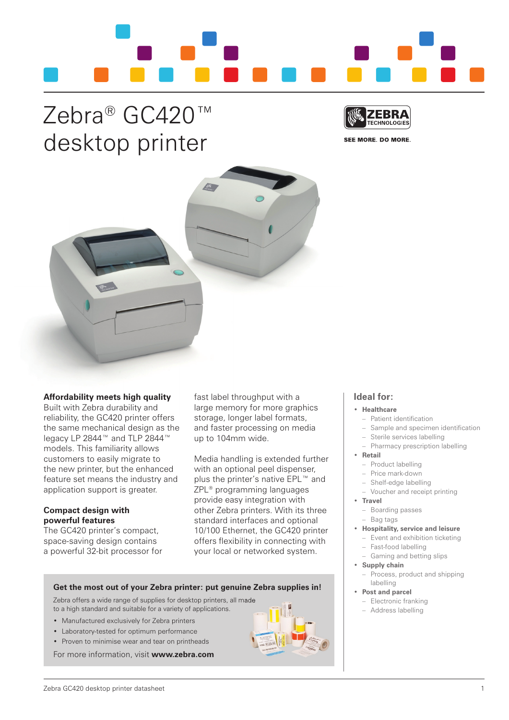

# Zebra<sup>®</sup> GC420™ desktop printer



**SEE MORE. DO MORE.** 



## **Affordability meets high quality**

Built with Zebra durability and reliability, the gC420 printer offers the same mechanical design as the legacy LP 2844™ and tLP 2844™ models. This familiarity allows customers to easily migrate to the new printer, but the enhanced feature set means the industry and application support is greater.

## **Compact design with powerful features**

The GC420 printer's compact, space-saving design contains a powerful 32-bit processor for fast label throughput with a large memory for more graphics storage, longer label formats, and faster processing on media up to 104mm wide.

Media handling is extended further with an optional peel dispenser, plus the printer's native EPL™ and ZPL® programming languages provide easy integration with other Zebra printers. With its three standard interfaces and optional 10/100 Ethernet, the gC420 printer offers flexibility in connecting with your local or networked system.

## • **Healthcare** - Patient identification

**Ideal for:**

- Sample and specimen identification
- Sterile services labelling
- Pharmacy prescription labelling
- • **Retail**
	- Product labelling
	- Price mark-down
	- Shelf-edge labelling
	- Voucher and receipt printing
- • **Travel**
	- Boarding passes
- Bag tags
- • **Hospitality, service and leisure**
	- Event and exhibition ticketing
	- fast-food labelling
	- gaming and betting slips
- • **Supply chain** – Process, product and shipping
	- labelling
- • **Post and parcel**
	- Electronic franking – Address labelling

- • Manufactured exclusively for Zebra printers
- • Laboratory-tested for optimum performance
- Proven to minimise wear and tear on printheads

for more information, visit **www.zebra.com**

to a high standard and suitable for a variety of applications.

**Get the most out of your Zebra printer: put genuine Zebra supplies in!**